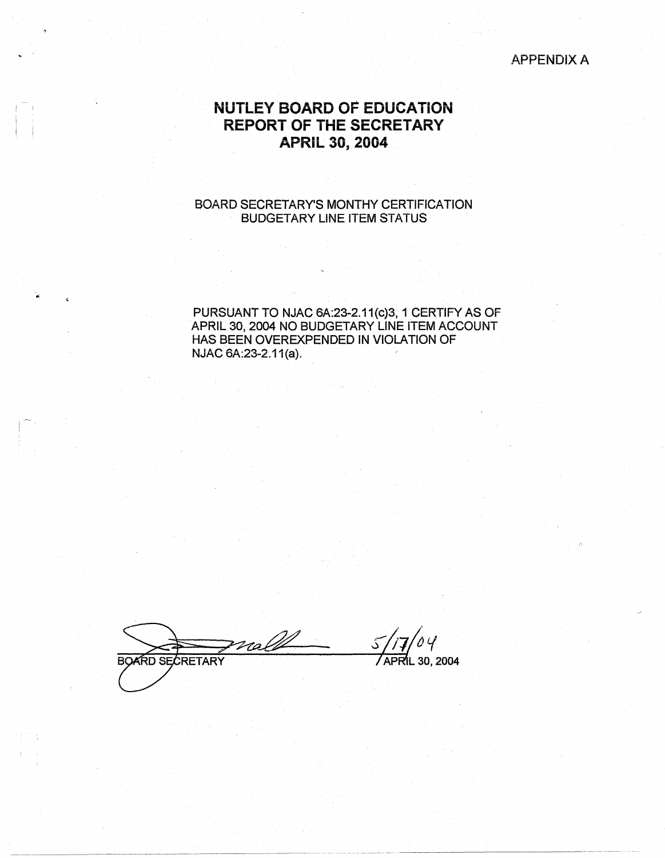### APPENDIX A

# **NUTLEY BOARD OF EDUCATION REPORT OF THE SECRETARY APRIL 30, 2004**

 $I = I$ 

 $\Box$ 

#### 80ARD SECRETARY'S MONTHY CERTIFICATION BUDGETARY LINE ITEM STATUS

PURSUANT TO NJAC 6A:23-2.11 (c)3, 1 CERTIFY AS OF APRIL 30, 2004 NO BUDGETARY LINE ITEM ACCOUNT HAS BEEN OVEREXPENDED IN VIOLATION OF NJAC 6A:23-2.11(a).

noll **BOARD SECRETARY APRIL 30, 2004** 

---~~~-~------ -~- --------------------~--------------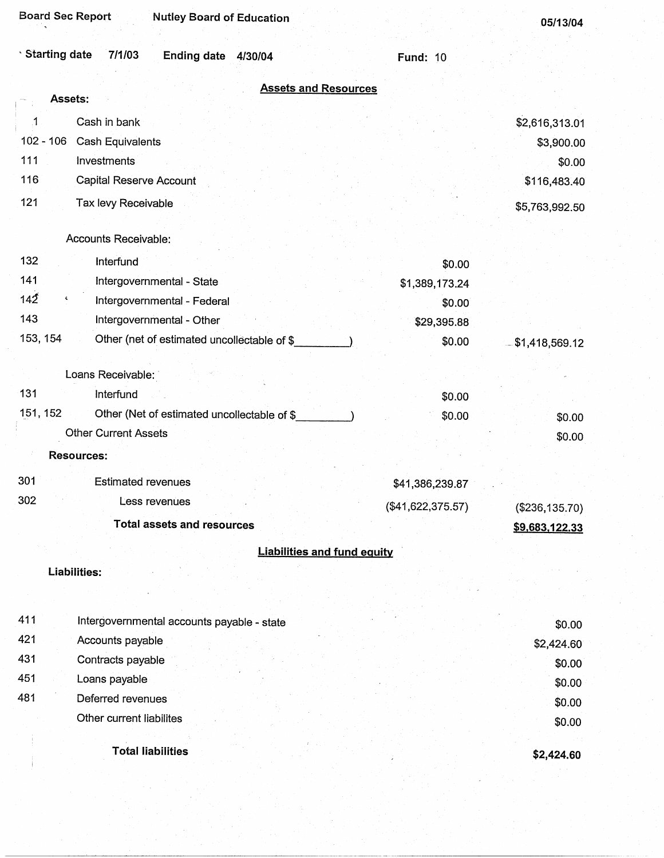| <b>Board Sec Report</b><br><b>Nutley Board of Education</b>     |                   | 05/13/04          |
|-----------------------------------------------------------------|-------------------|-------------------|
| <b>Starting date</b><br>7/1/03<br><b>Ending date</b><br>4/30/04 | <b>Fund: 10</b>   |                   |
| <b>Assets and Resources</b>                                     |                   |                   |
| Assets:                                                         |                   |                   |
| .1<br>Cash in bank                                              |                   | \$2,616,313.01    |
| $102 - 106$<br>Cash Equivalents                                 |                   | \$3,900.00        |
| 111<br>Investments                                              |                   | \$0.00            |
| 116<br>Capital Reserve Account                                  |                   | \$116,483.40      |
| 121<br>Tax levy Receivable                                      |                   | \$5,763,992.50    |
|                                                                 |                   |                   |
| Accounts Receivable:                                            |                   |                   |
| 132<br>Interfund                                                | \$0.00            |                   |
| 141<br>Intergovernmental - State                                | \$1,389,173.24    |                   |
| 142<br>٢<br>Intergovernmental - Federal                         | \$0.00            |                   |
| 143<br>Intergovernmental - Other                                | \$29,395.88       |                   |
| 153, 154<br>Other (net of estimated uncollectable of \$         | \$0.00            | \$1,418,569.12    |
| Loans Receivable:                                               |                   |                   |
| 131<br>Interfund                                                | \$0.00            |                   |
| 151, 152<br>Other (Net of estimated uncollectable of \$         | \$0.00            | \$0.00            |
| <b>Other Current Assets</b>                                     |                   | \$0.00            |
| <b>Resources:</b>                                               |                   |                   |
| 301<br><b>Estimated revenues</b>                                | \$41,386,239.87   |                   |
| 302<br>Less revenues                                            | (\$41,622,375.57) | $(\$236, 135.70)$ |
| <b>Total assets and resources</b>                               |                   | \$9,683,122.33    |
| <b>Liabilities and fund equity</b>                              |                   |                   |
| <b>Liabilities:</b>                                             |                   |                   |
|                                                                 |                   |                   |
| 411<br>Intergovernmental accounts payable - state               |                   | \$0.00            |
| 421<br>Accounts payable                                         |                   | \$2,424.60        |
| 431<br>Contracts payable                                        |                   | \$0.00            |
| 451<br>Loans payable                                            |                   | \$0.00            |
| 481<br>Deferred revenues                                        |                   | \$0.00            |
| Other current liabilites                                        |                   | \$0.00            |
| <b>Total liabilities</b>                                        |                   | \$2,424.60        |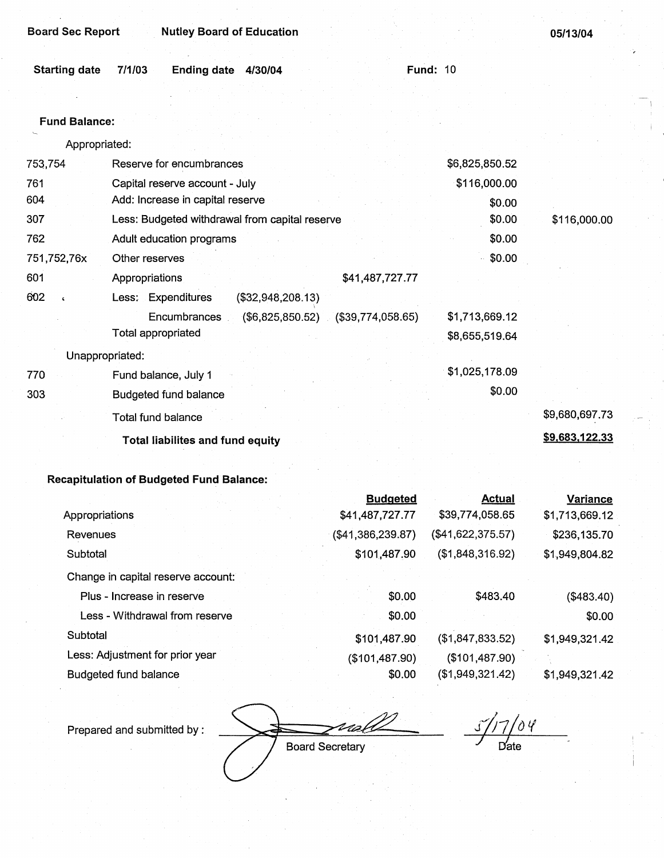| <b>Board Sec Report</b> | <b>Nutley Board of Education</b> |
|-------------------------|----------------------------------|
|-------------------------|----------------------------------|

| Starting date 7/1/03 | Ending date 4/30/04 |  | <b>Fund: 10</b> |  |
|----------------------|---------------------|--|-----------------|--|

#### Fund **Balance:**

Appropriated:

| 753,754           | Reserve for encumbrances                             | \$6,825,850.52 |                |
|-------------------|------------------------------------------------------|----------------|----------------|
| 761               | Capital reserve account - July                       | \$116,000.00   |                |
| 604               | Add: Increase in capital reserve                     | \$0.00         |                |
| 307               | Less: Budgeted withdrawal from capital reserve       | \$0.00         | \$116,000.00   |
| 762               | Adult education programs                             | \$0.00         |                |
| 751,752,76x       | Other reserves                                       | \$0.00         |                |
| 601               | \$41,487,727.77<br>Appropriations                    |                |                |
| 602<br>$\epsilon$ | Less: Expenditures<br>(\$32,948,208.13)              |                |                |
|                   | $($6,825,850.52)$ $($39,774,058.65)$<br>Encumbrances | \$1,713,669.12 |                |
|                   | Total appropriated                                   | \$8,655,519.64 |                |
|                   | Unappropriated:                                      |                |                |
| 770               | Fund balance, July 1                                 | \$1,025,178.09 |                |
| 303               | Budgeted fund balance                                | \$0.00         |                |
|                   | Total fund balance                                   |                | \$9,680,697.73 |
|                   | <b>Total liabilites and fund equity</b>              |                | \$9,683,122.33 |
|                   |                                                      |                |                |

# **Recapitulation of Budgeted Fund Balance:**

|                                    | <b>Budgeted</b>   | <b>Actual</b>     | <b>Variance</b> |
|------------------------------------|-------------------|-------------------|-----------------|
| Appropriations                     | \$41,487,727.77   | \$39,774,058.65   | \$1,713,669.12  |
| Revenues                           | (\$41,386,239.87) | (\$41,622,375.57) | \$236,135.70    |
| Subtotal                           | \$101,487.90      | (\$1,848,316.92)  | \$1,949,804.82  |
| Change in capital reserve account: |                   |                   |                 |
| Plus - Increase in reserve         | \$0.00            | \$483.40          | (\$483.40)      |
| Less - Withdrawal from reserve     | \$0.00            |                   | \$0.00          |
| Subtotal                           | \$101,487.90      | (\$1,847,833.52)  | \$1,949,321.42  |
| Less: Adjustment for prior year    | (\$101,487.90)    | (\$101,487.90)    |                 |
| Budgeted fund balance              | \$0.00            | (\$1,949,321.42)  | \$1,949,321.42  |

Prepared and submitted by :

**Board Secretary** 

j/;7 */o* <sup>11</sup> *J* Date

roh

05/13/04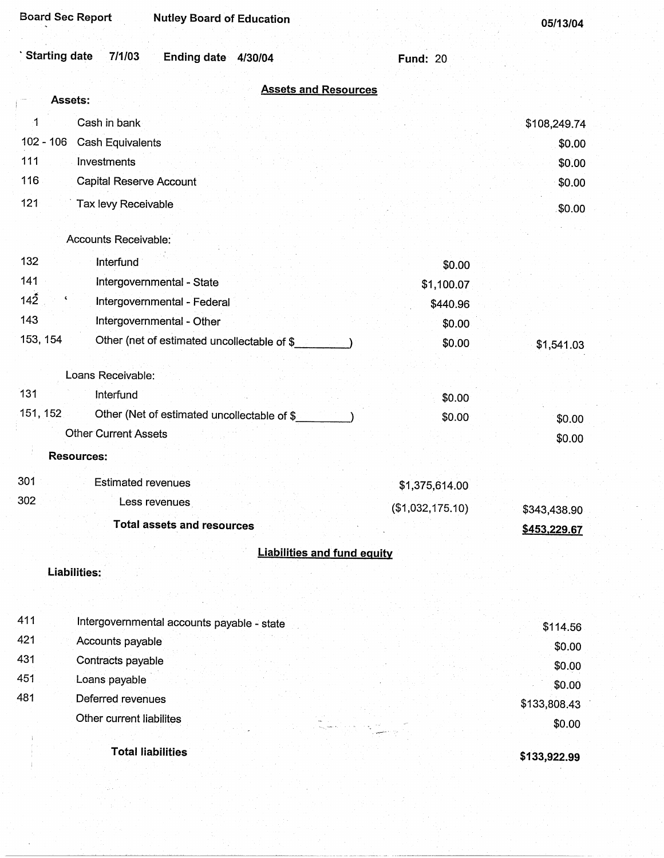| <b>Board Sec Report</b>                | <b>Nutley Board of Education</b>            |                  | 05/13/04     |
|----------------------------------------|---------------------------------------------|------------------|--------------|
| <b>Starting date</b><br>7/1/03         | <b>Ending date</b><br>4/30/04               | <b>Fund: 20</b>  |              |
|                                        | <b>Assets and Resources</b>                 |                  |              |
| Assets:                                |                                             |                  |              |
| Cash in bank<br>1                      |                                             |                  | \$108,249.74 |
| $102 - 106$<br><b>Cash Equivalents</b> |                                             |                  | \$0.00       |
| 111<br>Investments                     |                                             |                  | \$0.00       |
| 116<br><b>Capital Reserve Account</b>  |                                             |                  | \$0.00       |
| 121<br>Tax levy Receivable             |                                             |                  | \$0.00       |
| Accounts Receivable:                   |                                             |                  |              |
| 132<br>Interfund                       |                                             | \$0.00           |              |
| 141                                    | Intergovernmental - State                   | \$1,100.07       |              |
| 142                                    | Intergovernmental - Federal                 | \$440.96         |              |
| 143                                    | Intergovernmental - Other                   | \$0.00           |              |
| 153, 154                               | Other (net of estimated uncollectable of \$ | \$0.00           | \$1,541.03   |
| Loans Receivable:                      |                                             |                  |              |
| 131<br>Interfund                       |                                             | \$0.00           |              |
| 151, 152                               | Other (Net of estimated uncollectable of \$ | \$0.00           | \$0.00       |
| <b>Other Current Assets</b>            |                                             |                  | \$0.00       |
| <b>Resources:</b>                      |                                             |                  |              |
| 301<br><b>Estimated revenues</b>       |                                             | \$1,375,614.00   |              |
| 302                                    | Less revenues                               | (\$1,032,175.10) | \$343,438.90 |
|                                        | <b>Total assets and resources</b>           |                  | \$453,229.67 |
|                                        | <b>Liabilities and fund equity</b>          |                  |              |
| <b>Liabilities:</b>                    |                                             |                  |              |
|                                        |                                             |                  |              |
| 411                                    | Intergovernmental accounts payable - state  |                  | \$114.56     |
| 421<br>Accounts payable                |                                             |                  | \$0.00       |
| 431<br>Contracts payable               |                                             |                  | \$0.00       |
| 451<br>Loans payable                   |                                             |                  | \$0.00       |
| 481<br>Deferred revenues               |                                             |                  | \$133,808.43 |
| Other current liabilites               |                                             |                  | \$0.00       |
|                                        | <b>Total liabilities</b>                    |                  | \$133,922.99 |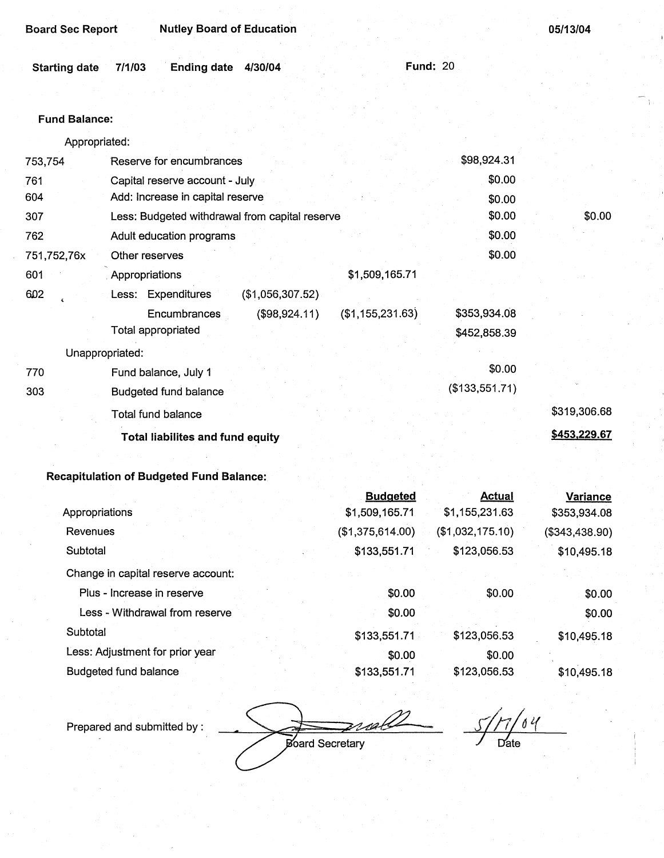| Board Sec Report | <b>Nutley Board of Education</b> |
|------------------|----------------------------------|
|                  |                                  |

**05/13/04** 

\$0.00

| Starting date 7/1/03 | <b>Ending date 4/30/04</b> |  | <b>Fund: 20</b> |
|----------------------|----------------------------|--|-----------------|
|                      |                            |  |                 |

#### **Fund Balance:**

Appropriated: 753,754 Reserve for encumbrances 761 604 307 762 751,752, 76x 601 6D2 Capital reserve account - July Add: Increase in capital reserve Less: Budgeted withdrawal from capital reserve Adult education programs Other reserves . Appropriations Less: Expenditures **Encumbrances** Total appropriated (\$1,056,307.52) (\$98,924.11) Unappropriated: 770 **303**  Fund balance, July 1 Budgeted fund balance Total fund balance **Total liabilites and fund equity**  \$1,509,165.71 (\$1,155,231.63) \$98,924.31 \$0.00 \$0.00 \$0.00 \$0.00 \$0.00 **\$353,934.08 \$452,858.39**  \$0.00 (\$133,551.71) \$319,306.68 **\$453,229.67** 

#### **Recapitulation of Budgeted Fund Balance:**

|                                    | <b>Budgeted</b>  | <b>Actual</b>    | <b>Variance</b> |
|------------------------------------|------------------|------------------|-----------------|
| Appropriations                     | \$1,509,165.71   | \$1,155,231.63   | \$353,934.08    |
| Revenues                           | (\$1,375,614.00) | (\$1,032,175.10) | (\$343,438.90)  |
| Subtotal                           | \$133,551.71     | \$123,056.53     | \$10,495.18     |
| Change in capital reserve account: |                  |                  |                 |
| Plus - Increase in reserve         | \$0.00           | \$0.00           | \$0.00          |
| Less - Withdrawal from reserve     | \$0.00           |                  | \$0.00          |
| Subtotal                           | \$133,551.71     | \$123,056.53     | \$10,495.18     |
| Less: Adjustment for prior year    | \$0.00           | \$0.00           |                 |
| Budgeted fund balance              | \$133,551.71     | \$123,056.53     | \$10,495.18     |

Prepared and submitted by :

Board Secretary

*si/1'/at( I* rfate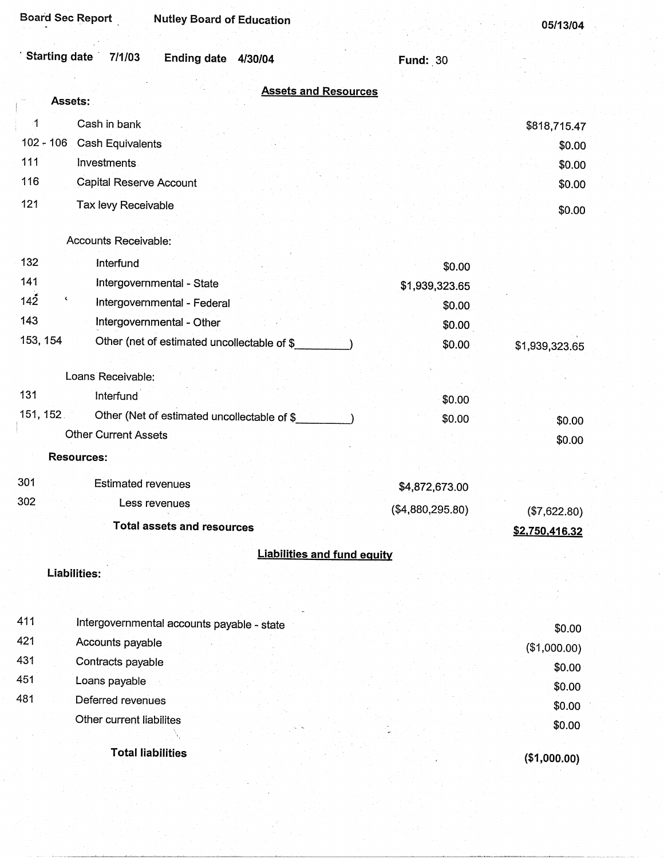| Starting date 7/1/03 | Ending date 4/30/04 |  |  |
|----------------------|---------------------|--|--|
|----------------------|---------------------|--|--|

Fund: 30

|                 | <b>Assets and Resources</b><br>Assets:      |                  |                                |
|-----------------|---------------------------------------------|------------------|--------------------------------|
| $\cdot$ 1       | Cash in bank                                |                  | \$818,715.47                   |
| $102 - 106$     | Cash Equivalents                            |                  | \$0.00                         |
| 111             | <b>Investments</b>                          |                  | \$0.00                         |
| 116             | <b>Capital Reserve Account</b>              |                  | \$0.00                         |
| 121             | Tax levy Receivable                         |                  |                                |
|                 |                                             |                  | \$0.00                         |
|                 | Accounts Receivable:                        |                  |                                |
| 132             | Interfund                                   | \$0.00           |                                |
| 141             | Intergovernmental - State                   | \$1,939,323.65   |                                |
| 142<br><b>C</b> | Intergovernmental - Federal                 | \$0.00           |                                |
| 143             | Intergovernmental - Other                   | \$0.00           |                                |
| 153, 154        | Other (net of estimated uncollectable of \$ | \$0.00           | \$1,939,323.65                 |
|                 |                                             |                  |                                |
|                 | Loans Receivable:                           |                  |                                |
| 131             | Interfund                                   | \$0.00           |                                |
| 151, 152        | Other (Net of estimated uncollectable of \$ | \$0.00           | \$0.00                         |
|                 | <b>Other Current Assets</b>                 |                  | \$0.00                         |
|                 | <b>Resources:</b>                           |                  |                                |
| 301             | <b>Estimated revenues</b>                   | \$4,872,673.00   |                                |
| 302             | Less revenues                               | (\$4,880,295.80) |                                |
|                 | <b>Total assets and resources</b>           |                  | (\$7,622.80)<br>\$2,750,416.32 |
|                 |                                             |                  |                                |
|                 | <b>Liabilities and fund equity</b>          |                  |                                |
|                 | Liabilities:                                |                  |                                |
|                 |                                             |                  |                                |
| 411             | Intergovernmental accounts payable - state  |                  | \$0.00                         |
| 421             | Accounts payable                            |                  | (\$1,000.00)                   |
| 431             | Contracts payable                           |                  | \$0.00                         |
| 451             | Loans payable                               |                  | \$0.00                         |
| 481             | Deferred revenues                           |                  | \$0.00                         |
|                 | Other current liabilites                    |                  | \$0.00                         |
|                 |                                             |                  |                                |
|                 | <b>Total liabilities</b>                    |                  | (\$1,000.00)                   |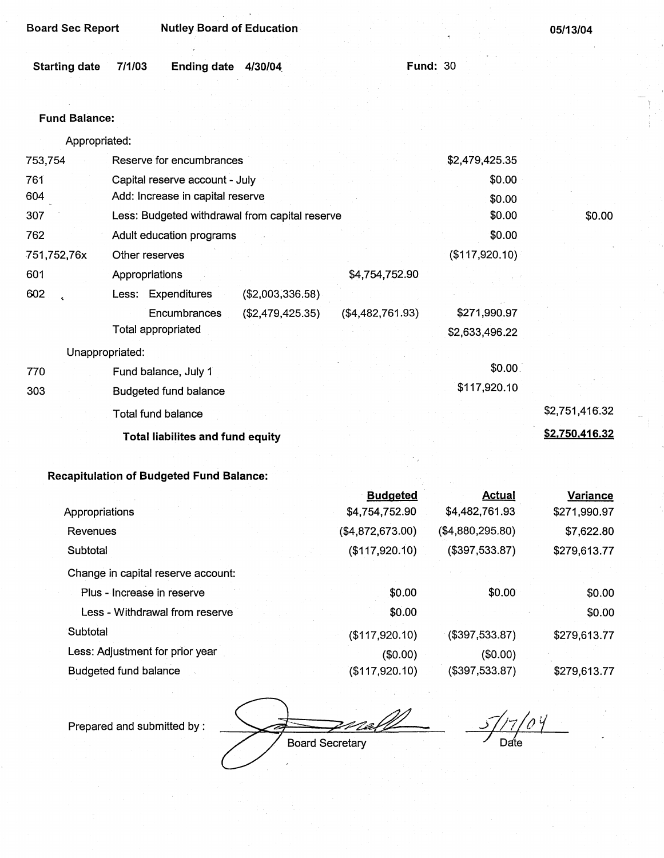| <b>Board Sec Report</b> |        | <b>Nutley Board of Education</b> |         |                 | 05/13/04 |
|-------------------------|--------|----------------------------------|---------|-----------------|----------|
|                         |        |                                  |         |                 |          |
| <b>Starting date</b>    | 7/1/03 | <b>Ending date</b>               | 4/30/04 | <b>Fund: 30</b> |          |
|                         |        |                                  |         |                 |          |

### Fund Balance:

Appropriated:

| 753,754     | Reserve for encumbrances                       |                  | \$2,479,425.35 |                |
|-------------|------------------------------------------------|------------------|----------------|----------------|
| 761         | Capital reserve account - July                 |                  | \$0.00         |                |
| 604         | Add: Increase in capital reserve               |                  | \$0.00         |                |
| 307         | Less: Budgeted withdrawal from capital reserve |                  | \$0.00         | \$0.00         |
| 762         | Adult education programs                       |                  | \$0.00         |                |
| 751,752,76x | Other reserves                                 |                  | (\$117,920.10) |                |
| 601         | Appropriations                                 | \$4,754,752.90   |                |                |
| 602         | Less: Expenditures<br>(\$2,003,336.58)         |                  |                |                |
|             | Encumbrances<br>(\$2,479,425.35)               | (\$4,482,761.93) | \$271,990.97   |                |
|             | Total appropriated                             |                  | \$2,633,496.22 |                |
|             | Unappropriated:                                |                  |                |                |
| 770         | Fund balance, July 1                           |                  | \$0.00         |                |
| 303         | <b>Budgeted fund balance</b>                   |                  | \$117,920.10   |                |
|             | Total fund balance                             |                  |                | \$2,751,416.32 |
|             | <b>Total liabilites and fund equity</b>        |                  |                | \$2,750,416.32 |
|             |                                                |                  |                |                |

# **Recapitulation of Budgeted Fund Balance:**

|                                    | <b>Budgeted</b>   | <b>Actual</b>    | <b>Variance</b> |
|------------------------------------|-------------------|------------------|-----------------|
| Appropriations                     | \$4,754,752.90    | \$4,482,761.93   | \$271,990.97    |
| <b>Revenues</b>                    | (\$4,872,673.00)  | (\$4,880,295.80) | \$7,622.80      |
| Subtotal                           | (\$117,920.10)    | (\$397,533.87)   | \$279,613.77    |
| Change in capital reserve account: |                   |                  |                 |
| Plus - Increase in reserve         | \$0.00            | \$0.00           | \$0.00          |
| Less - Withdrawal from reserve     | \$0.00            |                  | \$0.00          |
| Subtotal                           | (\$117,920.10)    | (\$397,533.87)   | \$279,613.77    |
| Less: Adjustment for prior year    | (\$0.00)          | (\$0.00)         |                 |
| Budgeted fund balance              | $($ \$117,920.10) | (\$397,533.87)   | \$279,613.77    |

Prepared and submitted by : <br>Board Secretary **Date** Date Date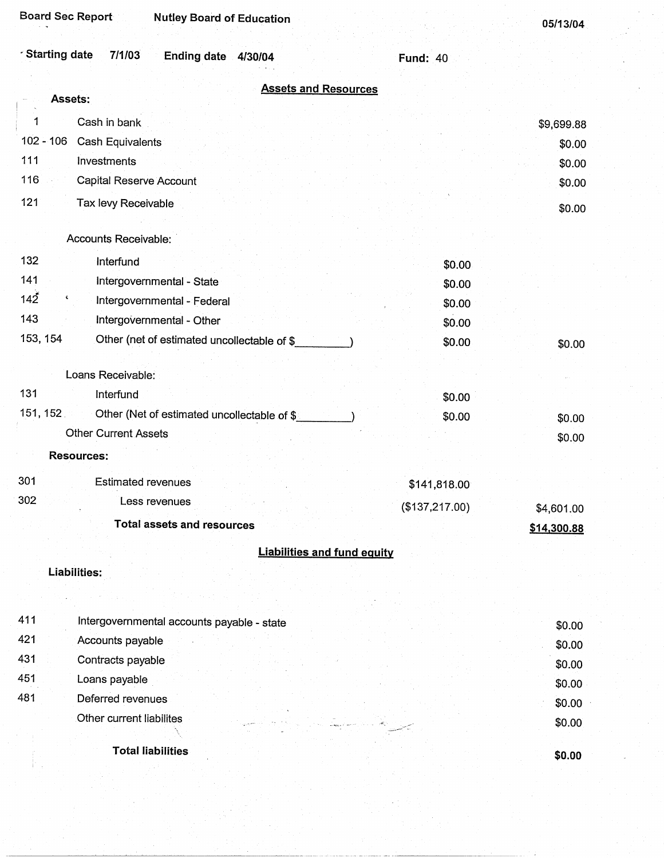**05/13/04** 

| Starting date  7/1/03 | Ending date 4/30/04 |  | <b>Fund: 40</b> |
|-----------------------|---------------------|--|-----------------|
|                       |                     |  |                 |

| <b>Assets and Resources</b><br>Assets:<br>1<br>Cash in bank<br>$102 - 106$<br>Cash Equivalents<br>111<br>Investments<br>116<br>Capital Reserve Account<br>121<br>Tax levy Receivable<br>Accounts Receivable:<br>132<br>Interfund<br>\$0.00<br>141<br>Intergovernmental - State<br>\$0.00<br>142<br>٢<br>Intergovernmental - Federal<br>\$0.00<br>143<br>Intergovernmental - Other<br>\$0.00<br>153, 154<br>Other (net of estimated uncollectable of \$<br>\$0.00<br>Loans Receivable:<br>131<br>Interfund<br>\$0.00<br>151, 152.<br>Other (Net of estimated uncollectable of \$<br>\$0.00<br>Other Current Assets<br><b>Resources:</b><br>301<br><b>Estimated revenues</b><br>\$141,818.00<br>302<br>Less revenues<br>(\$137,217.00)<br>\$4,601.00 | \$9,699.88<br>\$0.00<br>\$0.00<br>\$0.00<br>\$0.00<br>\$0.00 |
|----------------------------------------------------------------------------------------------------------------------------------------------------------------------------------------------------------------------------------------------------------------------------------------------------------------------------------------------------------------------------------------------------------------------------------------------------------------------------------------------------------------------------------------------------------------------------------------------------------------------------------------------------------------------------------------------------------------------------------------------------|--------------------------------------------------------------|
|                                                                                                                                                                                                                                                                                                                                                                                                                                                                                                                                                                                                                                                                                                                                                    |                                                              |
|                                                                                                                                                                                                                                                                                                                                                                                                                                                                                                                                                                                                                                                                                                                                                    |                                                              |
|                                                                                                                                                                                                                                                                                                                                                                                                                                                                                                                                                                                                                                                                                                                                                    |                                                              |
|                                                                                                                                                                                                                                                                                                                                                                                                                                                                                                                                                                                                                                                                                                                                                    |                                                              |
|                                                                                                                                                                                                                                                                                                                                                                                                                                                                                                                                                                                                                                                                                                                                                    |                                                              |
|                                                                                                                                                                                                                                                                                                                                                                                                                                                                                                                                                                                                                                                                                                                                                    |                                                              |
|                                                                                                                                                                                                                                                                                                                                                                                                                                                                                                                                                                                                                                                                                                                                                    |                                                              |
|                                                                                                                                                                                                                                                                                                                                                                                                                                                                                                                                                                                                                                                                                                                                                    |                                                              |
|                                                                                                                                                                                                                                                                                                                                                                                                                                                                                                                                                                                                                                                                                                                                                    |                                                              |
|                                                                                                                                                                                                                                                                                                                                                                                                                                                                                                                                                                                                                                                                                                                                                    |                                                              |
|                                                                                                                                                                                                                                                                                                                                                                                                                                                                                                                                                                                                                                                                                                                                                    |                                                              |
|                                                                                                                                                                                                                                                                                                                                                                                                                                                                                                                                                                                                                                                                                                                                                    |                                                              |
|                                                                                                                                                                                                                                                                                                                                                                                                                                                                                                                                                                                                                                                                                                                                                    |                                                              |
|                                                                                                                                                                                                                                                                                                                                                                                                                                                                                                                                                                                                                                                                                                                                                    |                                                              |
|                                                                                                                                                                                                                                                                                                                                                                                                                                                                                                                                                                                                                                                                                                                                                    |                                                              |
|                                                                                                                                                                                                                                                                                                                                                                                                                                                                                                                                                                                                                                                                                                                                                    | \$0.00                                                       |
|                                                                                                                                                                                                                                                                                                                                                                                                                                                                                                                                                                                                                                                                                                                                                    | \$0.00                                                       |
|                                                                                                                                                                                                                                                                                                                                                                                                                                                                                                                                                                                                                                                                                                                                                    |                                                              |
|                                                                                                                                                                                                                                                                                                                                                                                                                                                                                                                                                                                                                                                                                                                                                    |                                                              |
|                                                                                                                                                                                                                                                                                                                                                                                                                                                                                                                                                                                                                                                                                                                                                    |                                                              |
| <b>Total assets and resources</b><br>\$14,300.88                                                                                                                                                                                                                                                                                                                                                                                                                                                                                                                                                                                                                                                                                                   |                                                              |
|                                                                                                                                                                                                                                                                                                                                                                                                                                                                                                                                                                                                                                                                                                                                                    |                                                              |
| <b>Liabilities and fund equity</b><br>Liabilities:                                                                                                                                                                                                                                                                                                                                                                                                                                                                                                                                                                                                                                                                                                 |                                                              |
|                                                                                                                                                                                                                                                                                                                                                                                                                                                                                                                                                                                                                                                                                                                                                    |                                                              |
|                                                                                                                                                                                                                                                                                                                                                                                                                                                                                                                                                                                                                                                                                                                                                    |                                                              |
| 411<br>Intergovernmental accounts payable - state                                                                                                                                                                                                                                                                                                                                                                                                                                                                                                                                                                                                                                                                                                  | \$0.00                                                       |
| 421<br>Accounts payable                                                                                                                                                                                                                                                                                                                                                                                                                                                                                                                                                                                                                                                                                                                            | \$0.00                                                       |
| 431<br>Contracts payable                                                                                                                                                                                                                                                                                                                                                                                                                                                                                                                                                                                                                                                                                                                           | \$0.00                                                       |
| 451<br>Loans payable                                                                                                                                                                                                                                                                                                                                                                                                                                                                                                                                                                                                                                                                                                                               | \$0.00                                                       |
| 481<br>Deferred revenues                                                                                                                                                                                                                                                                                                                                                                                                                                                                                                                                                                                                                                                                                                                           | \$0.00                                                       |
| Other current liabilites                                                                                                                                                                                                                                                                                                                                                                                                                                                                                                                                                                                                                                                                                                                           | \$0.00                                                       |
| <b>Total liabilities</b>                                                                                                                                                                                                                                                                                                                                                                                                                                                                                                                                                                                                                                                                                                                           | \$0.00                                                       |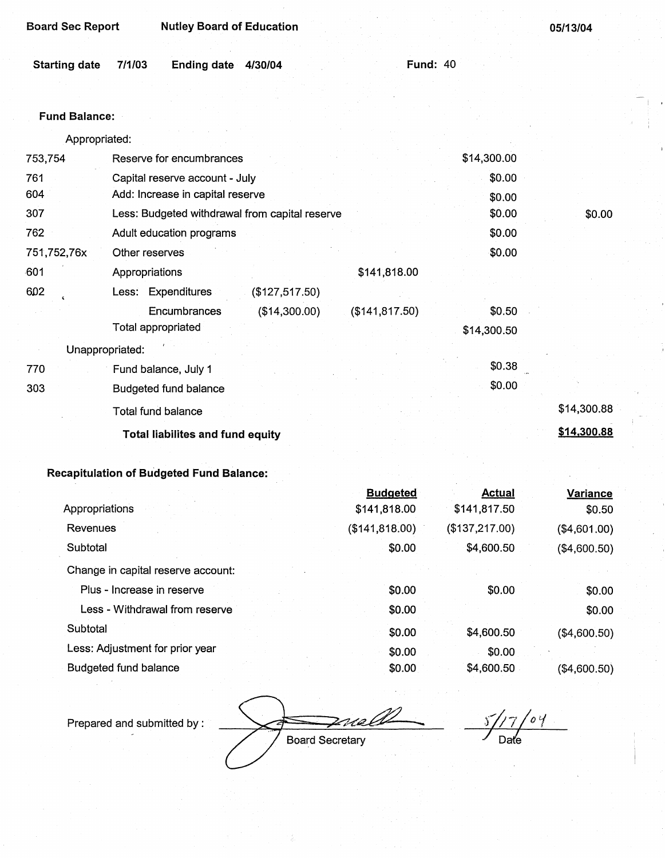| <b>Board Sec Report</b> |        | <b>Nutley Board of Education</b> |                 | 05/13/04 |
|-------------------------|--------|----------------------------------|-----------------|----------|
|                         |        |                                  |                 |          |
| <b>Starting date</b>    | 7/1/03 | Ending date<br>4/30/04           | <b>Fund: 40</b> |          |

# Fund **Balance:**

Appropriated:

| 753,754         | Reserve for encumbrances                       |                 | \$14,300.00 |             |
|-----------------|------------------------------------------------|-----------------|-------------|-------------|
| 761             | Capital reserve account - July                 |                 | \$0.00      |             |
| 604             | Add: Increase in capital reserve               |                 | \$0.00      |             |
| 307             | Less: Budgeted withdrawal from capital reserve |                 | \$0.00      | \$0.00      |
| 762             | Adult education programs                       |                 | \$0.00      |             |
| 751,752,76x     | Other reserves                                 |                 | \$0.00      |             |
| $-601$          | Appropriations                                 | \$141,818.00    |             |             |
| 602             | Less: Expenditures<br>(\$127,517.50)           |                 |             |             |
|                 | Encumbrances<br>(\$14,300.00)                  | (\$141, 817.50) | \$0.50      |             |
|                 | Total appropriated                             |                 | \$14,300.50 |             |
| Unappropriated: |                                                |                 |             |             |
| 770             | Fund balance, July 1                           |                 | \$0.38      |             |
| 303             | <b>Budgeted fund balance</b>                   |                 | \$0.00      |             |
|                 | Total fund balance                             |                 |             | \$14,300.88 |
|                 | <b>Total liabilites and fund equity</b>        |                 |             | \$14,300.88 |

# **Recapitulation of Budgeted Fund Balance:**

|                                    | <b>Budgeted</b> | <b>Actual</b>  | <b>Variance</b> |
|------------------------------------|-----------------|----------------|-----------------|
| Appropriations                     | \$141,818.00    | \$141,817.50   | \$0.50          |
| <b>Revenues</b>                    | (\$141,818.00)  | (\$137,217.00) | (\$4,601.00)    |
| Subtotal                           | \$0.00          | \$4,600.50     | (\$4,600.50)    |
| Change in capital reserve account: |                 |                |                 |
| Plus - Increase in reserve         | \$0.00          | \$0.00         | \$0.00          |
| Less - Withdrawal from reserve     | \$0.00          |                | \$0.00          |
| Subtotal                           | \$0.00          | \$4,600.50     | (\$4,600.50)    |
| Less: Adjustment for prior year    | \$0.00          | \$0.00         |                 |
| <b>Budgeted fund balance</b>       | \$0.00          | \$4,600.50     | (\$4,600.50)    |

Prepared and submitted by:

*,\_¼;~*  Board Secretary

*S//7* /otf Date

I '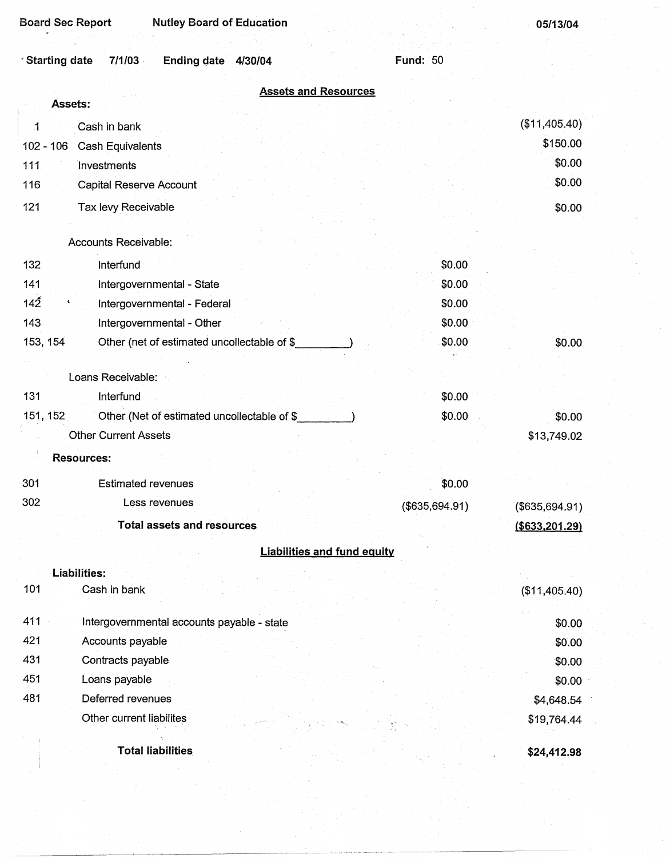| <b>Nutley Board of Education</b><br><b>Board Sec Report</b> |                 | 05/13/04          |
|-------------------------------------------------------------|-----------------|-------------------|
| 7/1/03<br>Ending date 4/30/04<br><b>Starting date</b>       | <b>Fund: 50</b> |                   |
| <b>Assets and Resources</b>                                 |                 |                   |
| <b>Assets:</b>                                              |                 |                   |
| Cash in bank<br>1                                           |                 | (\$11,405.40)     |
| 102 - 106 Cash Equivalents                                  |                 | \$150.00          |
| Investments<br>111                                          |                 | \$0.00            |
| 116<br><b>Capital Reserve Account</b>                       |                 | \$0.00            |
| 121<br>Tax levy Receivable                                  |                 | \$0.00            |
| Accounts Receivable:                                        |                 |                   |
| 132<br>Interfund                                            | \$0.00          |                   |
| 141<br>Intergovernmental - State                            | \$0.00          |                   |
| 142<br>¢<br>Intergovernmental - Federal                     | \$0.00          |                   |
| 143<br>Intergovernmental - Other                            | \$0.00          |                   |
| 153, 154<br>Other (net of estimated uncollectable of \$     | \$0.00          | \$0.00            |
|                                                             |                 |                   |
| Loans Receivable:                                           |                 |                   |
| 131<br>Interfund                                            | \$0.00          |                   |
| 151, 152<br>Other (Net of estimated uncollectable of \$     | \$0.00          | \$0.00            |
| <b>Other Current Assets</b>                                 |                 | \$13,749.02       |
| <b>Resources:</b>                                           |                 |                   |
| 301<br><b>Estimated revenues</b>                            | \$0.00          |                   |
| 302<br>Less revenues                                        | (\$635,694.91)  | (\$635,694.91)    |
| <b>Total assets and resources</b>                           |                 | $($ \$633,201.29) |
| <b>Liabilities and fund equity</b>                          |                 |                   |
| Liabilities:                                                |                 |                   |
| 101<br>Cash in bank                                         |                 | (\$11,405.40)     |
| 411<br>Intergovernmental accounts payable - state           |                 | \$0.00            |
| 421<br>Accounts payable                                     |                 | \$0.00            |
| 431<br>Contracts payable                                    |                 | \$0.00            |
| 451<br>Loans payable                                        |                 | \$0.00            |
| 481<br>Deferred revenues                                    |                 | \$4,648.54        |
| Other current liabilites                                    |                 | \$19,764.44       |
| <b>Total liabilities</b>                                    |                 | \$24,412.98       |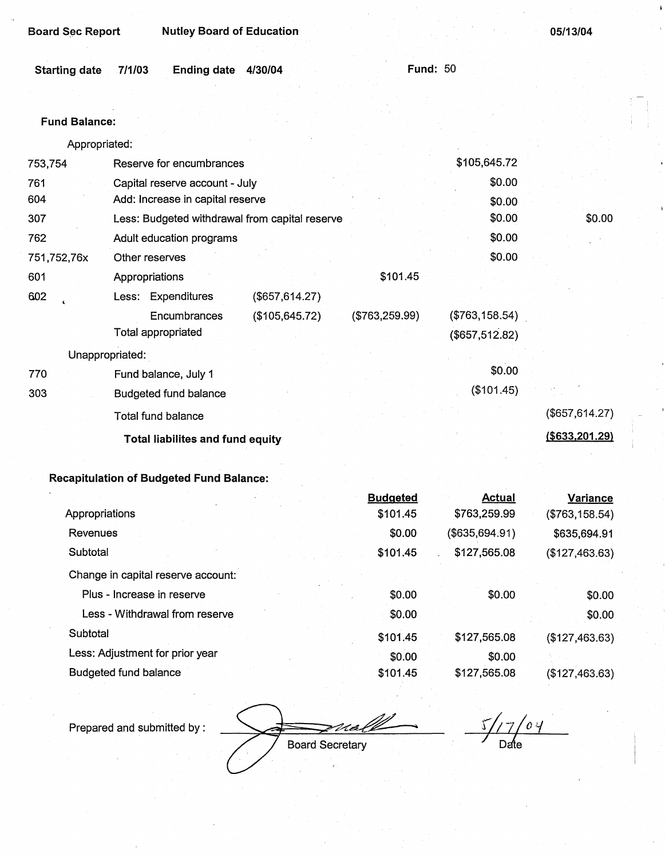| <b>Board Sec Report</b> | <b>Nutley Board of Education</b> |
|-------------------------|----------------------------------|
|                         |                                  |

05/13/04

|                      | Ending date 4/30/04 |  | Fund: $50-1$ |
|----------------------|---------------------|--|--------------|
| Starting date 7/1/03 |                     |  |              |

# Fund **Balance:**

Appropriated:

| Reserve for encumbrances       |                 |                                                                                                                                                                    | \$105,645.72    |                       |
|--------------------------------|-----------------|--------------------------------------------------------------------------------------------------------------------------------------------------------------------|-----------------|-----------------------|
| Capital reserve account - July |                 |                                                                                                                                                                    | \$0.00          |                       |
|                                |                 |                                                                                                                                                                    | \$0.00          |                       |
|                                |                 |                                                                                                                                                                    | \$0.00          | \$0.00                |
| Adult education programs       |                 |                                                                                                                                                                    | \$0.00          |                       |
| Other reserves                 |                 |                                                                                                                                                                    | \$0.00          |                       |
| Appropriations                 |                 | \$101.45                                                                                                                                                           |                 |                       |
| Less: Expenditures             |                 |                                                                                                                                                                    |                 |                       |
| Encumbrances                   |                 | (\$763,259.99)                                                                                                                                                     | (\$763,158.54)  |                       |
| Total appropriated             |                 |                                                                                                                                                                    | (\$657, 512.82) |                       |
|                                |                 |                                                                                                                                                                    |                 |                       |
| Fund balance, July 1           |                 |                                                                                                                                                                    | \$0.00          |                       |
| <b>Budgeted fund balance</b>   |                 |                                                                                                                                                                    | (\$101.45)      |                       |
| Total fund balance             |                 |                                                                                                                                                                    |                 | (\$657, 614.27)       |
|                                |                 |                                                                                                                                                                    |                 | <u>(\$633,201.29)</u> |
|                                | Unappropriated: | Add: Increase in capital reserve<br>Less: Budgeted withdrawal from capital reserve<br>(\$657,614.27)<br>(\$105, 645.72)<br><b>Total liabilites and fund equity</b> |                 |                       |

# **Recapitulation of Budgeted Fund Balance:**

|                                    |  | <b>Budgeted</b> | <b>Actual</b>  | <b>Variance</b> |
|------------------------------------|--|-----------------|----------------|-----------------|
| Appropriations                     |  | \$101.45        | \$763,259.99   | (\$763,158.54)  |
| <b>Revenues</b>                    |  | \$0.00          | (\$635,694.91) | \$635,694.91    |
| Subtotal                           |  | \$101.45        | \$127,565.08   | (\$127,463.63)  |
| Change in capital reserve account: |  |                 |                |                 |
| Plus - Increase in reserve         |  | \$0.00          | \$0.00         | \$0.00          |
| Less - Withdrawal from reserve     |  | \$0.00          |                | \$0.00          |
| Subtotal                           |  | \$101.45        | \$127,565.08   | (\$127,463.63)  |
| Less: Adjustment for prior year    |  | \$0.00          | \$0.00         |                 |
| <b>Budgeted fund balance</b>       |  | \$101.45        | \$127,565.08   | (\$127,463.63)  |
|                                    |  |                 |                |                 |

Prepared and submitted by: <br>Board Secretary<br>Board Secretary

 $\frac{5}{7}$  d  $\frac{7}{7}$  d  $\frac{4}{7}$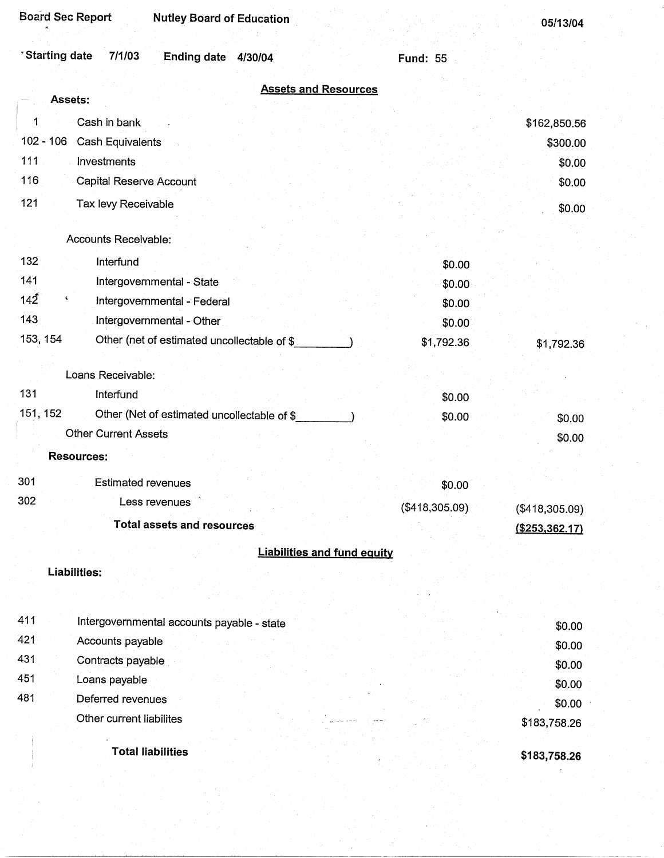| <b>Board Sec Report</b><br><b>Nutley Board of Education</b> |                 | 05/13/04         |
|-------------------------------------------------------------|-----------------|------------------|
| <sup>*</sup> Starting date<br>7/1/03<br>Ending date 4/30/04 | <b>Fund: 55</b> |                  |
| <b>Assets and Resources</b>                                 |                 |                  |
| Assets:                                                     |                 |                  |
| Cash in bank<br>1                                           |                 | \$162,850.56     |
| $102 - 106$<br><b>Cash Equivalents</b>                      |                 | \$300.00         |
| 111<br>Investments                                          |                 | \$0.00           |
| 116<br>Capital Reserve Account                              |                 | \$0.00           |
| 121<br>Tax levy Receivable                                  |                 | \$0.00           |
| Accounts Receivable:                                        |                 |                  |
| 132<br>Interfund                                            | \$0.00          |                  |
| 141<br>Intergovernmental - State                            | \$0.00          |                  |
| 142<br>٢<br>Intergovernmental - Federal                     | \$0.00          |                  |
| 143<br>Intergovernmental - Other                            | \$0.00          |                  |
| 153, 154<br>Other (net of estimated uncollectable of \$     | \$1,792.36      | \$1,792.36       |
| Loans Receivable:                                           |                 |                  |
| 131<br>Interfund                                            |                 |                  |
| 151, 152<br>Other (Net of estimated uncollectable of \$     | \$0.00          |                  |
| <b>Other Current Assets</b>                                 | \$0.00          | \$0.00           |
|                                                             |                 | \$0.00           |
| <b>Resources:</b>                                           |                 |                  |
| 301<br><b>Estimated revenues</b>                            | \$0.00          |                  |
| 302<br>Less revenues                                        | (\$418,305.09)  | (\$418,305.09)   |
| <b>Total assets and resources</b>                           |                 | ( \$253, 362.17) |
| <b>Liabilities and fund equity</b>                          |                 |                  |
| <b>Liabilities:</b>                                         |                 |                  |
|                                                             |                 |                  |
| 411<br>Intergovernmental accounts payable - state           |                 | \$0.00           |
| 421<br>Accounts payable                                     |                 | \$0.00           |
| 431<br>Contracts payable                                    |                 | \$0.00           |
| 451<br>Loans payable                                        |                 | \$0.00           |
| 481<br>Deferred revenues                                    |                 | \$0.00           |
| Other current liabilites                                    |                 | \$183,758.26     |
|                                                             |                 |                  |
| <b>Total liabilities</b>                                    |                 | \$183,758.26     |